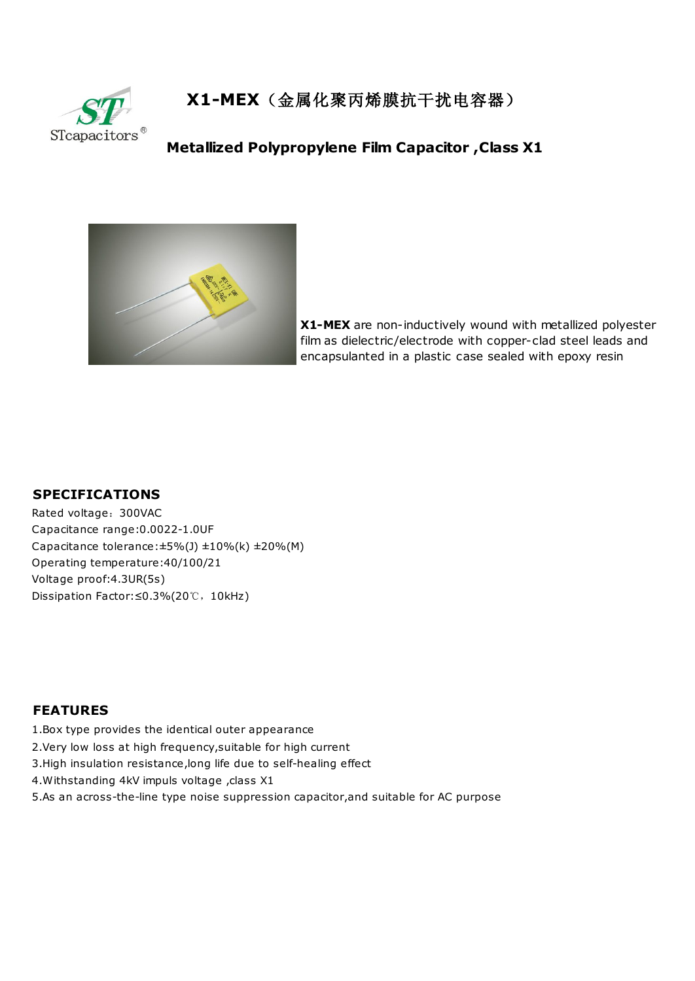

**X1-MEX**(金属化聚丙烯膜抗干扰电容器)

## **Metallized Polypropylene Film Capacitor ,Class X1**



**X1-MEX** are non-inductively wound with metallized polyester film as dielectric/electrode with copper-clad steel leads and encapsulanted in a plastic case sealed with epoxy resin

## **SPECIFICATIONS**

Rated voltage:300VAC Capacitance range:0.0022-1.0UF Capacitance tolerance: $\pm$ 5%(J)  $\pm$ 10%(k)  $\pm$ 20%(M) Operating temperature:40/100/21 Voltage proof:4.3UR(5s) Dissipation Factor:≤0.3%(20℃,10kHz)

## **FEATURES**

- 1.Box type provides the identical outer appearance
- 2.Very low loss at high frequency,suitable for high current
- 3.High insulation resistance,long life due to self-healing effect
- 4. Withstanding 4kV impuls voltage , class X1
- 5.As an across-the-line type noise suppression capacitor,and suitable for AC purpose